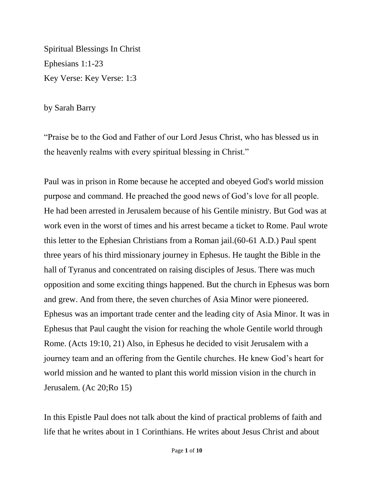Spiritual Blessings In Christ Ephesians 1:1-23 Key Verse: Key Verse: 1:3

by Sarah Barry

"Praise be to the God and Father of our Lord Jesus Christ, who has blessed us in the heavenly realms with every spiritual blessing in Christ."

Paul was in prison in Rome because he accepted and obeyed God's world mission purpose and command. He preached the good news of God's love for all people. He had been arrested in Jerusalem because of his Gentile ministry. But God was at work even in the worst of times and his arrest became a ticket to Rome. Paul wrote this letter to the Ephesian Christians from a Roman jail.(60-61 A.D.) Paul spent three years of his third missionary journey in Ephesus. He taught the Bible in the hall of Tyranus and concentrated on raising disciples of Jesus. There was much opposition and some exciting things happened. But the church in Ephesus was born and grew. And from there, the seven churches of Asia Minor were pioneered. Ephesus was an important trade center and the leading city of Asia Minor. It was in Ephesus that Paul caught the vision for reaching the whole Gentile world through Rome. (Acts 19:10, 21) Also, in Ephesus he decided to visit Jerusalem with a journey team and an offering from the Gentile churches. He knew God's heart for world mission and he wanted to plant this world mission vision in the church in Jerusalem. (Ac 20;Ro 15)

In this Epistle Paul does not talk about the kind of practical problems of faith and life that he writes about in 1 Corinthians. He writes about Jesus Christ and about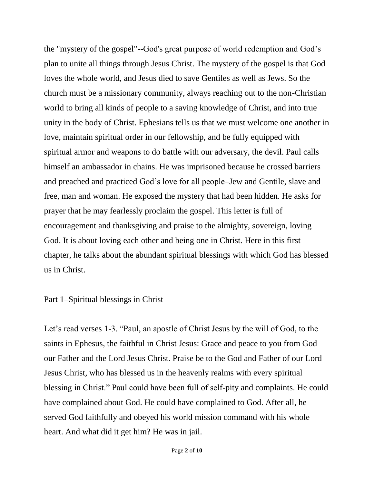the "mystery of the gospel"--God's great purpose of world redemption and God's plan to unite all things through Jesus Christ. The mystery of the gospel is that God loves the whole world, and Jesus died to save Gentiles as well as Jews. So the church must be a missionary community, always reaching out to the non-Christian world to bring all kinds of people to a saving knowledge of Christ, and into true unity in the body of Christ. Ephesians tells us that we must welcome one another in love, maintain spiritual order in our fellowship, and be fully equipped with spiritual armor and weapons to do battle with our adversary, the devil. Paul calls himself an ambassador in chains. He was imprisoned because he crossed barriers and preached and practiced God's love for all people–Jew and Gentile, slave and free, man and woman. He exposed the mystery that had been hidden. He asks for prayer that he may fearlessly proclaim the gospel. This letter is full of encouragement and thanksgiving and praise to the almighty, sovereign, loving God. It is about loving each other and being one in Christ. Here in this first chapter, he talks about the abundant spiritual blessings with which God has blessed us in Christ.

## Part 1–Spiritual blessings in Christ

Let's read verses 1-3. "Paul, an apostle of Christ Jesus by the will of God, to the saints in Ephesus, the faithful in Christ Jesus: Grace and peace to you from God our Father and the Lord Jesus Christ. Praise be to the God and Father of our Lord Jesus Christ, who has blessed us in the heavenly realms with every spiritual blessing in Christ." Paul could have been full of self-pity and complaints. He could have complained about God. He could have complained to God. After all, he served God faithfully and obeyed his world mission command with his whole heart. And what did it get him? He was in jail.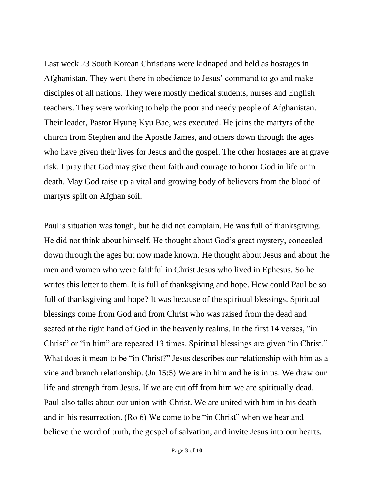Last week 23 South Korean Christians were kidnaped and held as hostages in Afghanistan. They went there in obedience to Jesus' command to go and make disciples of all nations. They were mostly medical students, nurses and English teachers. They were working to help the poor and needy people of Afghanistan. Their leader, Pastor Hyung Kyu Bae, was executed. He joins the martyrs of the church from Stephen and the Apostle James, and others down through the ages who have given their lives for Jesus and the gospel. The other hostages are at grave risk. I pray that God may give them faith and courage to honor God in life or in death. May God raise up a vital and growing body of believers from the blood of martyrs spilt on Afghan soil.

Paul's situation was tough, but he did not complain. He was full of thanksgiving. He did not think about himself. He thought about God's great mystery, concealed down through the ages but now made known. He thought about Jesus and about the men and women who were faithful in Christ Jesus who lived in Ephesus. So he writes this letter to them. It is full of thanksgiving and hope. How could Paul be so full of thanksgiving and hope? It was because of the spiritual blessings. Spiritual blessings come from God and from Christ who was raised from the dead and seated at the right hand of God in the heavenly realms. In the first 14 verses, "in Christ" or "in him" are repeated 13 times. Spiritual blessings are given "in Christ." What does it mean to be "in Christ?" Jesus describes our relationship with him as a vine and branch relationship. (Jn 15:5) We are in him and he is in us. We draw our life and strength from Jesus. If we are cut off from him we are spiritually dead. Paul also talks about our union with Christ. We are united with him in his death and in his resurrection. (Ro 6) We come to be "in Christ" when we hear and believe the word of truth, the gospel of salvation, and invite Jesus into our hearts.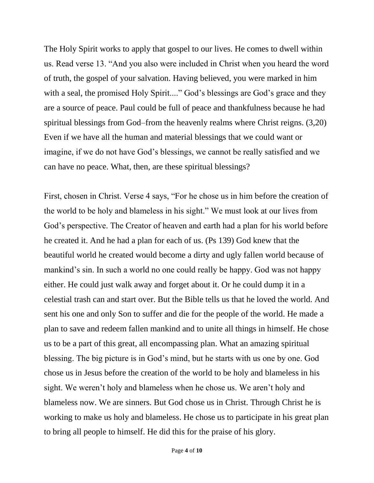The Holy Spirit works to apply that gospel to our lives. He comes to dwell within us. Read verse 13. "And you also were included in Christ when you heard the word of truth, the gospel of your salvation. Having believed, you were marked in him with a seal, the promised Holy Spirit...." God's blessings are God's grace and they are a source of peace. Paul could be full of peace and thankfulness because he had spiritual blessings from God–from the heavenly realms where Christ reigns. (3,20) Even if we have all the human and material blessings that we could want or imagine, if we do not have God's blessings, we cannot be really satisfied and we can have no peace. What, then, are these spiritual blessings?

First, chosen in Christ. Verse 4 says, "For he chose us in him before the creation of the world to be holy and blameless in his sight." We must look at our lives from God's perspective. The Creator of heaven and earth had a plan for his world before he created it. And he had a plan for each of us. (Ps 139) God knew that the beautiful world he created would become a dirty and ugly fallen world because of mankind's sin. In such a world no one could really be happy. God was not happy either. He could just walk away and forget about it. Or he could dump it in a celestial trash can and start over. But the Bible tells us that he loved the world. And sent his one and only Son to suffer and die for the people of the world. He made a plan to save and redeem fallen mankind and to unite all things in himself. He chose us to be a part of this great, all encompassing plan. What an amazing spiritual blessing. The big picture is in God's mind, but he starts with us one by one. God chose us in Jesus before the creation of the world to be holy and blameless in his sight. We weren't holy and blameless when he chose us. We aren't holy and blameless now. We are sinners. But God chose us in Christ. Through Christ he is working to make us holy and blameless. He chose us to participate in his great plan to bring all people to himself. He did this for the praise of his glory.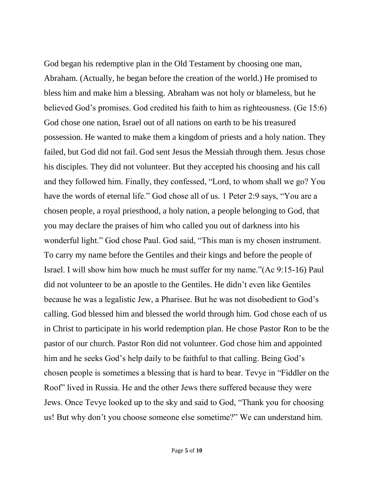God began his redemptive plan in the Old Testament by choosing one man, Abraham. (Actually, he began before the creation of the world.) He promised to bless him and make him a blessing. Abraham was not holy or blameless, but he believed God's promises. God credited his faith to him as righteousness. (Ge 15:6) God chose one nation, Israel out of all nations on earth to be his treasured possession. He wanted to make them a kingdom of priests and a holy nation. They failed, but God did not fail. God sent Jesus the Messiah through them. Jesus chose his disciples. They did not volunteer. But they accepted his choosing and his call and they followed him. Finally, they confessed, "Lord, to whom shall we go? You have the words of eternal life." God chose all of us. 1 Peter 2:9 says, "You are a chosen people, a royal priesthood, a holy nation, a people belonging to God, that you may declare the praises of him who called you out of darkness into his wonderful light." God chose Paul. God said, "This man is my chosen instrument. To carry my name before the Gentiles and their kings and before the people of Israel. I will show him how much he must suffer for my name."(Ac 9:15-16) Paul did not volunteer to be an apostle to the Gentiles. He didn't even like Gentiles because he was a legalistic Jew, a Pharisee. But he was not disobedient to God's calling. God blessed him and blessed the world through him. God chose each of us in Christ to participate in his world redemption plan. He chose Pastor Ron to be the pastor of our church. Pastor Ron did not volunteer. God chose him and appointed him and he seeks God's help daily to be faithful to that calling. Being God's chosen people is sometimes a blessing that is hard to bear. Tevye in "Fiddler on the Roof" lived in Russia. He and the other Jews there suffered because they were Jews. Once Tevye looked up to the sky and said to God, "Thank you for choosing us! But why don't you choose someone else sometime?" We can understand him.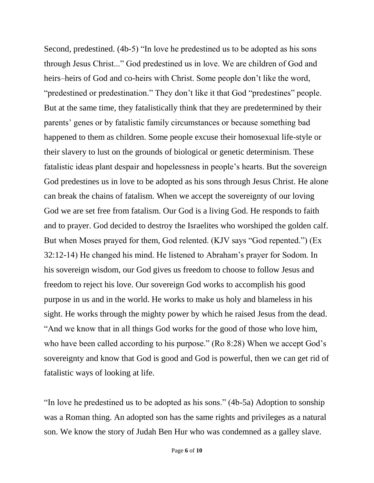Second, predestined. (4b-5) "In love he predestined us to be adopted as his sons through Jesus Christ..." God predestined us in love. We are children of God and heirs–heirs of God and co-heirs with Christ. Some people don't like the word, "predestined or predestination." They don't like it that God "predestines" people. But at the same time, they fatalistically think that they are predetermined by their parents' genes or by fatalistic family circumstances or because something bad happened to them as children. Some people excuse their homosexual life-style or their slavery to lust on the grounds of biological or genetic determinism. These fatalistic ideas plant despair and hopelessness in people's hearts. But the sovereign God predestines us in love to be adopted as his sons through Jesus Christ. He alone can break the chains of fatalism. When we accept the sovereignty of our loving God we are set free from fatalism. Our God is a living God. He responds to faith and to prayer. God decided to destroy the Israelites who worshiped the golden calf. But when Moses prayed for them, God relented. (KJV says "God repented.") (Ex 32:12-14) He changed his mind. He listened to Abraham's prayer for Sodom. In his sovereign wisdom, our God gives us freedom to choose to follow Jesus and freedom to reject his love. Our sovereign God works to accomplish his good purpose in us and in the world. He works to make us holy and blameless in his sight. He works through the mighty power by which he raised Jesus from the dead. "And we know that in all things God works for the good of those who love him, who have been called according to his purpose." (Ro 8:28) When we accept God's sovereignty and know that God is good and God is powerful, then we can get rid of fatalistic ways of looking at life.

"In love he predestined us to be adopted as his sons." (4b-5a) Adoption to sonship was a Roman thing. An adopted son has the same rights and privileges as a natural son. We know the story of Judah Ben Hur who was condemned as a galley slave.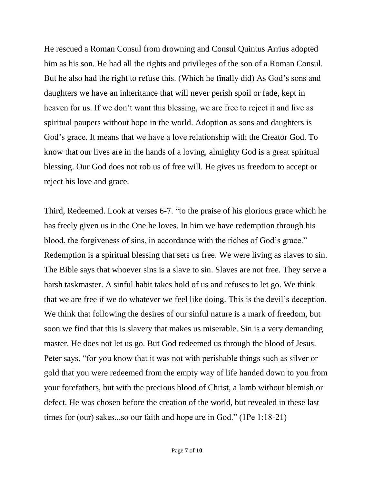He rescued a Roman Consul from drowning and Consul Quintus Arrius adopted him as his son. He had all the rights and privileges of the son of a Roman Consul. But he also had the right to refuse this. (Which he finally did) As God's sons and daughters we have an inheritance that will never perish spoil or fade, kept in heaven for us. If we don't want this blessing, we are free to reject it and live as spiritual paupers without hope in the world. Adoption as sons and daughters is God's grace. It means that we have a love relationship with the Creator God. To know that our lives are in the hands of a loving, almighty God is a great spiritual blessing. Our God does not rob us of free will. He gives us freedom to accept or reject his love and grace.

Third, Redeemed. Look at verses 6-7. "to the praise of his glorious grace which he has freely given us in the One he loves. In him we have redemption through his blood, the forgiveness of sins, in accordance with the riches of God's grace." Redemption is a spiritual blessing that sets us free. We were living as slaves to sin. The Bible says that whoever sins is a slave to sin. Slaves are not free. They serve a harsh taskmaster. A sinful habit takes hold of us and refuses to let go. We think that we are free if we do whatever we feel like doing. This is the devil's deception. We think that following the desires of our sinful nature is a mark of freedom, but soon we find that this is slavery that makes us miserable. Sin is a very demanding master. He does not let us go. But God redeemed us through the blood of Jesus. Peter says, "for you know that it was not with perishable things such as silver or gold that you were redeemed from the empty way of life handed down to you from your forefathers, but with the precious blood of Christ, a lamb without blemish or defect. He was chosen before the creation of the world, but revealed in these last times for (our) sakes...so our faith and hope are in God." (1Pe 1:18-21)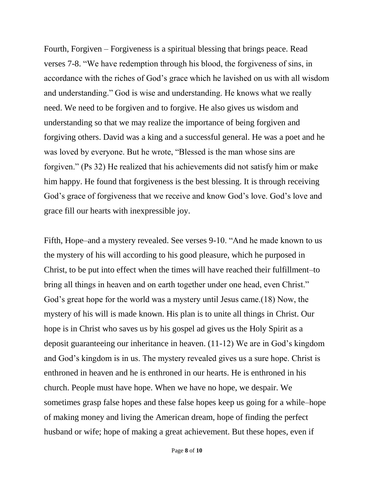Fourth, Forgiven – Forgiveness is a spiritual blessing that brings peace. Read verses 7-8. "We have redemption through his blood, the forgiveness of sins, in accordance with the riches of God's grace which he lavished on us with all wisdom and understanding." God is wise and understanding. He knows what we really need. We need to be forgiven and to forgive. He also gives us wisdom and understanding so that we may realize the importance of being forgiven and forgiving others. David was a king and a successful general. He was a poet and he was loved by everyone. But he wrote, "Blessed is the man whose sins are forgiven." (Ps 32) He realized that his achievements did not satisfy him or make him happy. He found that forgiveness is the best blessing. It is through receiving God's grace of forgiveness that we receive and know God's love. God's love and grace fill our hearts with inexpressible joy.

Fifth, Hope–and a mystery revealed. See verses 9-10. "And he made known to us the mystery of his will according to his good pleasure, which he purposed in Christ, to be put into effect when the times will have reached their fulfillment–to bring all things in heaven and on earth together under one head, even Christ." God's great hope for the world was a mystery until Jesus came.(18) Now, the mystery of his will is made known. His plan is to unite all things in Christ. Our hope is in Christ who saves us by his gospel ad gives us the Holy Spirit as a deposit guaranteeing our inheritance in heaven. (11-12) We are in God's kingdom and God's kingdom is in us. The mystery revealed gives us a sure hope. Christ is enthroned in heaven and he is enthroned in our hearts. He is enthroned in his church. People must have hope. When we have no hope, we despair. We sometimes grasp false hopes and these false hopes keep us going for a while–hope of making money and living the American dream, hope of finding the perfect husband or wife; hope of making a great achievement. But these hopes, even if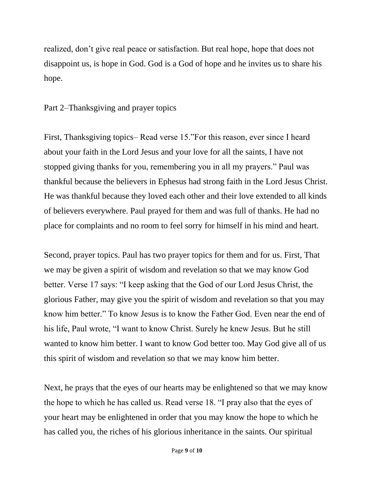realized, don't give real peace or satisfaction. But real hope, hope that does not disappoint us, is hope in God. God is a God of hope and he invites us to share his hope.

Part 2–Thanksgiving and prayer topics

First, Thanksgiving topics– Read verse 15."For this reason, ever since I heard about your faith in the Lord Jesus and your love for all the saints, I have not stopped giving thanks for you, remembering you in all my prayers." Paul was thankful because the believers in Ephesus had strong faith in the Lord Jesus Christ. He was thankful because they loved each other and their love extended to all kinds of believers everywhere. Paul prayed for them and was full of thanks. He had no place for complaints and no room to feel sorry for himself in his mind and heart.

Second, prayer topics. Paul has two prayer topics for them and for us. First, That we may be given a spirit of wisdom and revelation so that we may know God better. Verse 17 says: "I keep asking that the God of our Lord Jesus Christ, the glorious Father, may give you the spirit of wisdom and revelation so that you may know him better." To know Jesus is to know the Father God. Even near the end of his life, Paul wrote, "I want to know Christ. Surely he knew Jesus. But he still wanted to know him better. I want to know God better too. May God give all of us this spirit of wisdom and revelation so that we may know him better.

Next, he prays that the eyes of our hearts may be enlightened so that we may know the hope to which he has called us. Read verse 18. "I pray also that the eyes of your heart may be enlightened in order that you may know the hope to which he has called you, the riches of his glorious inheritance in the saints. Our spiritual